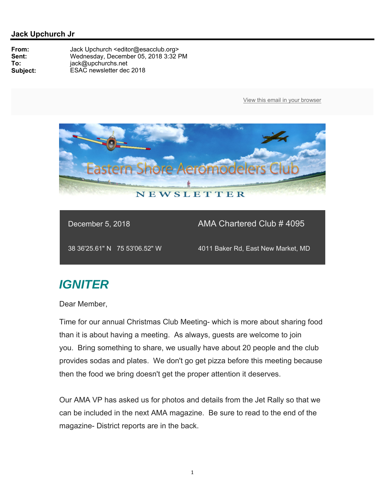

December 5, 2018 **AMA Chartered Club # 4095** 

38 36'25.61" N 75 53'06.52" W 4011 Baker Rd, East New Market, MD

## *IGNITER*

Dear Member,

Time for our annual Christmas Club Meeting- which is more about sharing food than it is about having a meeting. As always, guests are welcome to join you. Bring something to share, we usually have about 20 people and the club provides sodas and plates. We don't go get pizza before this meeting because then the food we bring doesn't get the proper attention it deserves.

Our AMA VP has asked us for photos and details from the Jet Rally so that we can be included in the next AMA magazine. Be sure to read to the end of the magazine- District reports are in the back.

1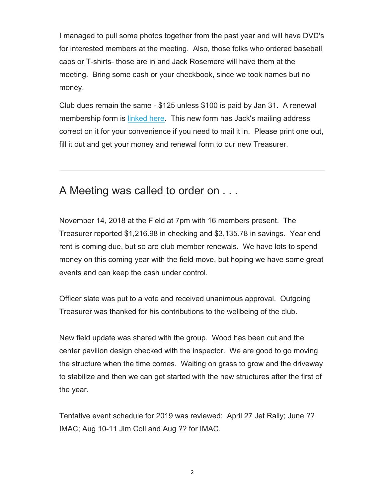I managed to pull some photos together from the past year and will have DVD's for interested members at the meeting. Also, those folks who ordered baseball caps or T-shirts- those are in and Jack Rosemere will have them at the meeting. Bring some cash or your checkbook, since we took names but no money.

Club dues remain the same - \$125 unless \$100 is paid by Jan 31. A renewal membership form is linked here. This new form has Jack's mailing address correct on it for your convenience if you need to mail it in. Please print one out, fill it out and get your money and renewal form to our new Treasurer.

## A Meeting was called to order on . . .

November 14, 2018 at the Field at 7pm with 16 members present. The Treasurer reported \$1,216.98 in checking and \$3,135.78 in savings. Year end rent is coming due, but so are club member renewals. We have lots to spend money on this coming year with the field move, but hoping we have some great events and can keep the cash under control.

Officer slate was put to a vote and received unanimous approval. Outgoing Treasurer was thanked for his contributions to the wellbeing of the club.

New field update was shared with the group. Wood has been cut and the center pavilion design checked with the inspector. We are good to go moving the structure when the time comes. Waiting on grass to grow and the driveway to stabilize and then we can get started with the new structures after the first of the year.

Tentative event schedule for 2019 was reviewed: April 27 Jet Rally; June ?? IMAC; Aug 10-11 Jim Coll and Aug ?? for IMAC.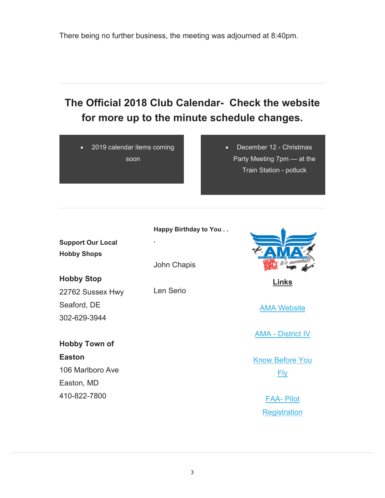There being no further business, the meeting was adjourned at 8:40pm.

## **The Official 2018 Club Calendar- Check the website for more up to the minute schedule changes.**

 2019 calendar items coming soon

 December 12 - Christmas Party Meeting 7pm — at the Train Station - potluck

| <b>Support Our Local</b> |  |
|--------------------------|--|
| <b>Hobby Shops</b>       |  |

John Chapis

**Happy Birthday to You . .** 

**Hobby Stop** 22762 Sussex Hwy Seaford, DE 302-629-3944

## **Hobby Town of Easton** 106 Marlboro Ave Easton, MD 410-822-7800

**.**

Len Serio



**Links** 

AMA Website

AMA - District IV

Know Before You Fly

> FAA- Pilot **Registration**